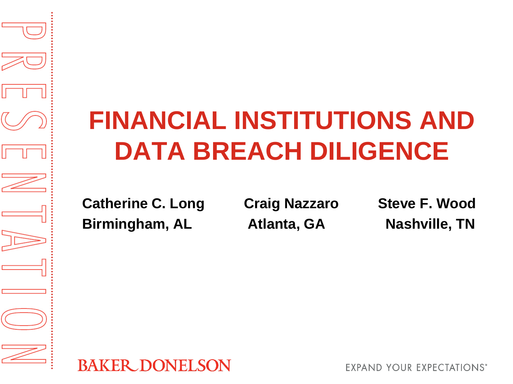# **FINANCIAL INSTITUTIONS AND DATA BREACH DILIGENCE**

**Catherine C. Long Craig Nazzaro Steve F. Wood Birmingham, AL Atlanta, GA Nashville, TN**

**BAKER DONELSON** 

**EXPAND YOUR EXPECTATIONS\***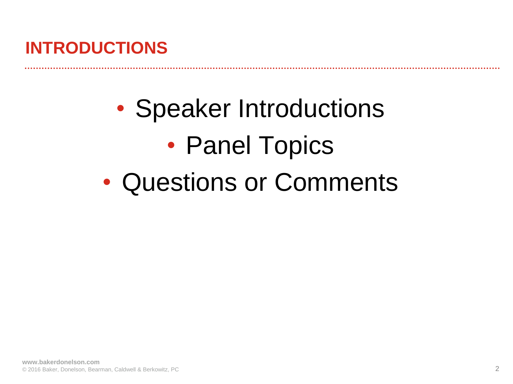## **INTRODUCTIONS**

• Speaker Introductions • Panel Topics • Questions or Comments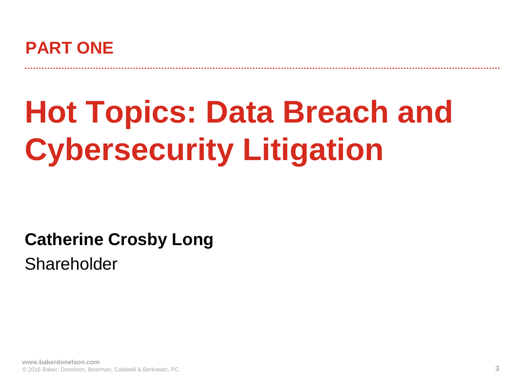

# **Hot Topics: Data Breach and Cybersecurity Litigation**

**Catherine Crosby Long** Shareholder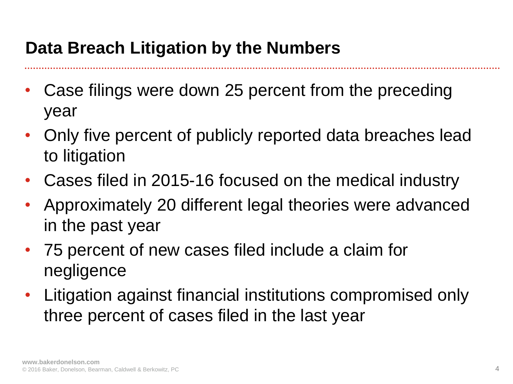#### **Data Breach Litigation by the Numbers**

- Case filings were down 25 percent from the preceding year
- Only five percent of publicly reported data breaches lead to litigation
- Cases filed in 2015-16 focused on the medical industry
- Approximately 20 different legal theories were advanced in the past year
- 75 percent of new cases filed include a claim for negligence
- Litigation against financial institutions compromised only three percent of cases filed in the last year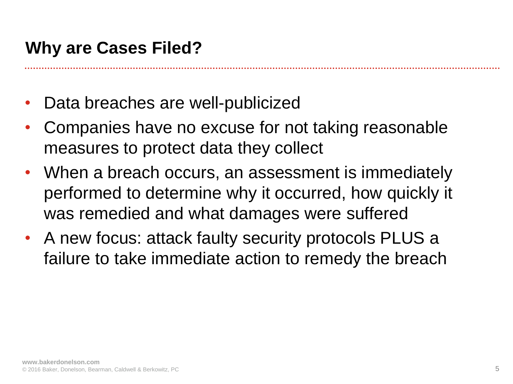#### **Why are Cases Filed?**

- Data breaches are well-publicized
- Companies have no excuse for not taking reasonable measures to protect data they collect
- When a breach occurs, an assessment is immediately performed to determine why it occurred, how quickly it was remedied and what damages were suffered
- A new focus: attack faulty security protocols PLUS a failure to take immediate action to remedy the breach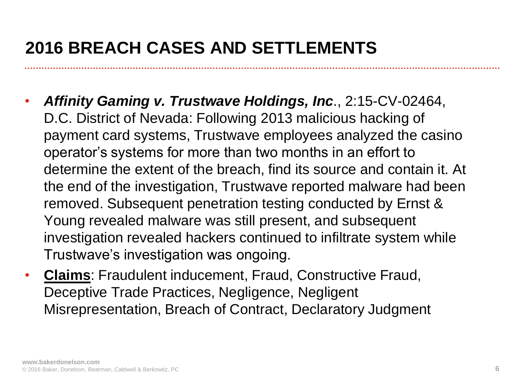- *Affinity Gaming v. Trustwave Holdings, Inc*., 2:15-CV-02464, D.C. District of Nevada: Following 2013 malicious hacking of payment card systems, Trustwave employees analyzed the casino operator's systems for more than two months in an effort to determine the extent of the breach, find its source and contain it. At the end of the investigation, Trustwave reported malware had been removed. Subsequent penetration testing conducted by Ernst & Young revealed malware was still present, and subsequent investigation revealed hackers continued to infiltrate system while Trustwave's investigation was ongoing.
- **Claims**: Fraudulent inducement, Fraud, Constructive Fraud, Deceptive Trade Practices, Negligence, Negligent Misrepresentation, Breach of Contract, Declaratory Judgment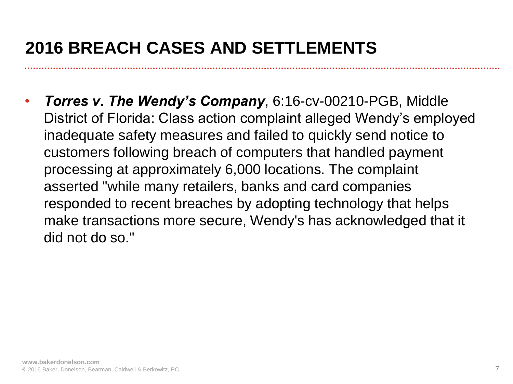• *Torres v. The Wendy's Company*, 6:16-cv-00210-PGB, Middle District of Florida: Class action complaint alleged Wendy's employed inadequate safety measures and failed to quickly send notice to customers following breach of computers that handled payment processing at approximately 6,000 locations. The complaint asserted "while many retailers, banks and card companies responded to recent breaches by adopting technology that helps make transactions more secure, Wendy's has acknowledged that it did not do so."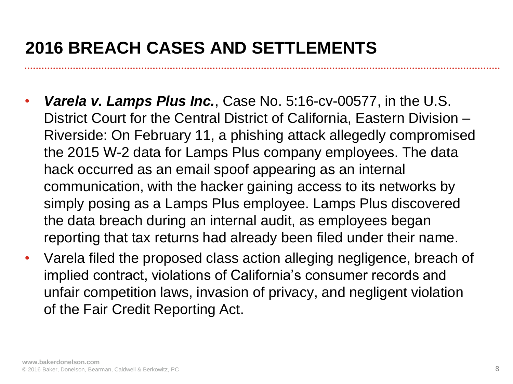- *Varela v. Lamps Plus Inc.*, Case No. 5:16-cv-00577, in the U.S. District Court for the Central District of California, Eastern Division – Riverside: On February 11, a phishing attack allegedly compromised the 2015 W-2 data for Lamps Plus company employees. The data hack occurred as an email spoof appearing as an internal communication, with the hacker gaining access to its networks by simply posing as a Lamps Plus employee. Lamps Plus discovered the data breach during an internal audit, as employees began reporting that tax returns had already been filed under their name.
- Varela filed the proposed class action alleging negligence, breach of implied contract, violations of California's consumer records and unfair competition laws, invasion of privacy, and negligent violation of the Fair Credit Reporting Act.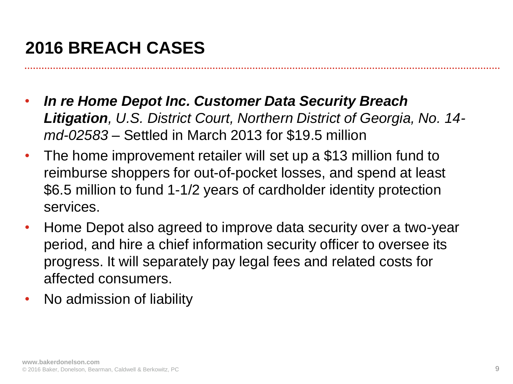# **2016 BREACH CASES**

- *In re Home Depot Inc. Customer Data Security Breach Litigation, U.S. District Court, Northern District of Georgia, No. 14 md-02583 –* Settled in March 2013 for \$19.5 million
- The home improvement retailer will set up a \$13 million fund to reimburse shoppers for out-of-pocket losses, and spend at least \$6.5 million to fund 1-1/2 years of cardholder identity protection services.
- Home Depot also agreed to improve data security over a two-year period, and hire a chief information security officer to oversee its progress. It will separately pay legal fees and related costs for affected consumers.
- No admission of liability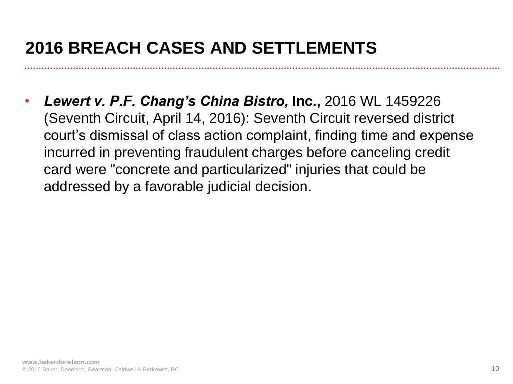• *Lewert v. P.F. Chang's China Bistro,* **Inc.,** 2016 WL 1459226 (Seventh Circuit, April 14, 2016): Seventh Circuit reversed district court's dismissal of class action complaint, finding time and expense incurred in preventing fraudulent charges before canceling credit card were "concrete and particularized" injuries that could be addressed by a favorable judicial decision.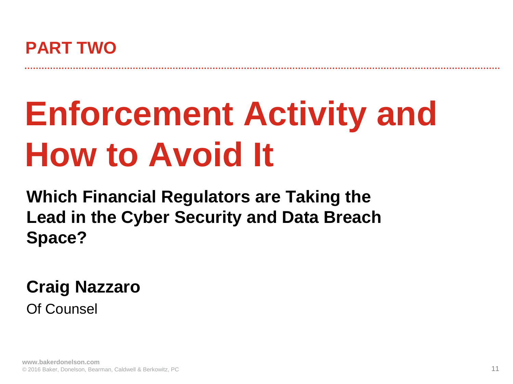

# **Enforcement Activity and How to Avoid It**

**Which Financial Regulators are Taking the Lead in the Cyber Security and Data Breach Space?**

#### **Craig Nazzaro**  Of Counsel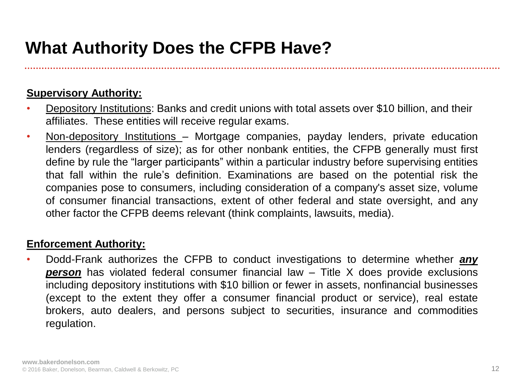#### **What Authority Does the CFPB Have?**

#### **Supervisory Authority:**

- Depository Institutions: Banks and credit unions with total assets over \$10 billion, and their affiliates. These entities will receive regular exams.
- Non-depository Institutions Mortgage companies, payday lenders, private education lenders (regardless of size); as for other nonbank entities, the CFPB generally must first define by rule the "larger participants" within a particular industry before supervising entities that fall within the rule's definition. Examinations are based on the potential risk the companies pose to consumers, including consideration of a company's asset size, volume of consumer financial transactions, extent of other federal and state oversight, and any other factor the CFPB deems relevant (think complaints, lawsuits, media).

#### **Enforcement Authority:**

• Dodd-Frank authorizes the CFPB to conduct investigations to determine whether *any* **person** has violated federal consumer financial law – Title X does provide exclusions including depository institutions with \$10 billion or fewer in assets, nonfinancial businesses (except to the extent they offer a consumer financial product or service), real estate brokers, auto dealers, and persons subject to securities, insurance and commodities regulation.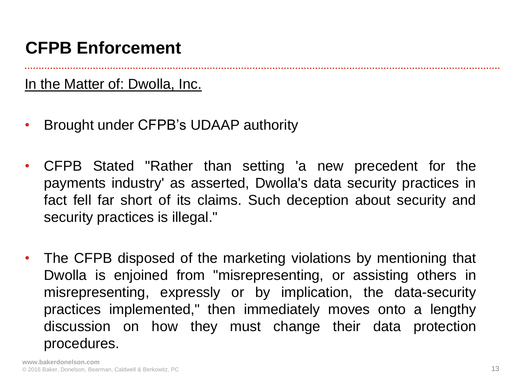#### **CFPB Enforcement**

In the Matter of: Dwolla, Inc.

- Brought under CFPB's UDAAP authority
- CFPB Stated "Rather than setting 'a new precedent for the payments industry' as asserted, Dwolla's data security practices in fact fell far short of its claims. Such deception about security and security practices is illegal."
- The CFPB disposed of the marketing violations by mentioning that Dwolla is enjoined from "misrepresenting, or assisting others in misrepresenting, expressly or by implication, the data-security practices implemented," then immediately moves onto a lengthy discussion on how they must change their data protection procedures.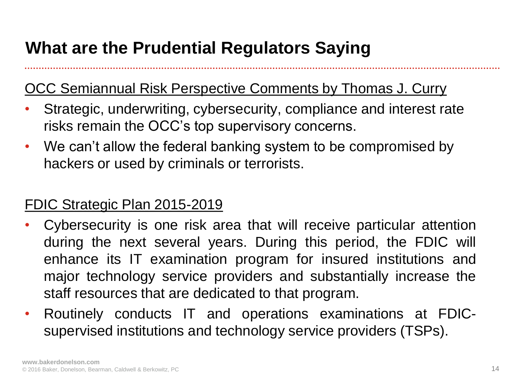#### **What are the Prudential Regulators Saying**

#### OCC Semiannual Risk Perspective Comments by Thomas J. Curry

- Strategic, underwriting, cybersecurity, compliance and interest rate risks remain the OCC's top supervisory concerns.
- We can't allow the federal banking system to be compromised by hackers or used by criminals or terrorists.

#### FDIC Strategic Plan 2015-2019

- Cybersecurity is one risk area that will receive particular attention during the next several years. During this period, the FDIC will enhance its IT examination program for insured institutions and major technology service providers and substantially increase the staff resources that are dedicated to that program.
- Routinely conducts IT and operations examinations at FDICsupervised institutions and technology service providers (TSPs).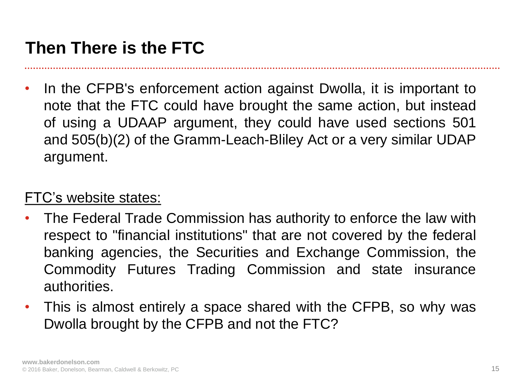## **Then There is the FTC**

In the CFPB's enforcement action against Dwolla, it is important to note that the FTC could have brought the same action, but instead of using a UDAAP argument, they could have used sections 501 and 505(b)(2) of the Gramm-Leach-Bliley Act or a very similar UDAP argument.

#### FTC's website states:

- The Federal Trade Commission has authority to enforce the law with respect to "financial institutions" that are not covered by the federal banking agencies, the Securities and Exchange Commission, the Commodity Futures Trading Commission and state insurance authorities.
- This is almost entirely a space shared with the CFPB, so why was Dwolla brought by the CFPB and not the FTC?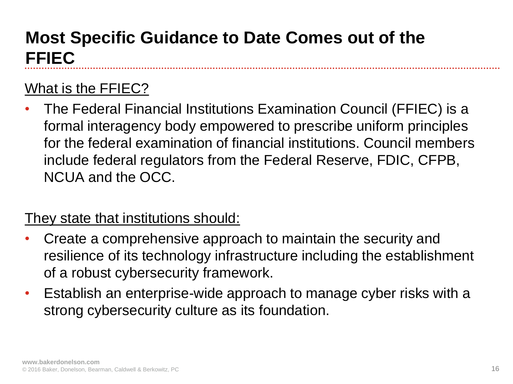## **Most Specific Guidance to Date Comes out of the FFIEC**

#### What is the FFIEC?

• The Federal Financial Institutions Examination Council (FFIEC) is a formal interagency body empowered to prescribe uniform principles for the federal examination of financial institutions. Council members include federal regulators from the Federal Reserve, FDIC, CFPB, NCUA and the OCC.

#### They state that institutions should:

- Create a comprehensive approach to maintain the security and resilience of its technology infrastructure including the establishment of a robust cybersecurity framework.
- Establish an enterprise-wide approach to manage cyber risks with a strong cybersecurity culture as its foundation.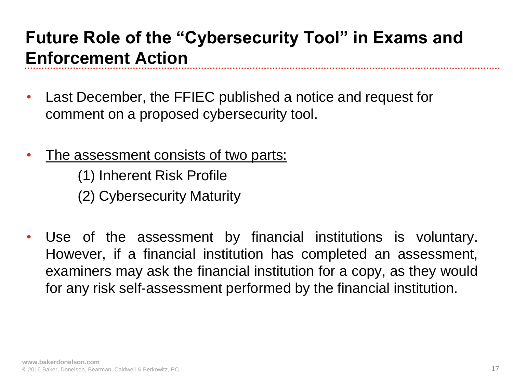## **Future Role of the "Cybersecurity Tool" in Exams and Enforcement Action**

- Last December, the FFIEC published a notice and request for comment on a proposed cybersecurity tool.
- The assessment consists of two parts:

(1) Inherent Risk Profile (2) Cybersecurity Maturity

Use of the assessment by financial institutions is voluntary. However, if a financial institution has completed an assessment, examiners may ask the financial institution for a copy, as they would for any risk self-assessment performed by the financial institution.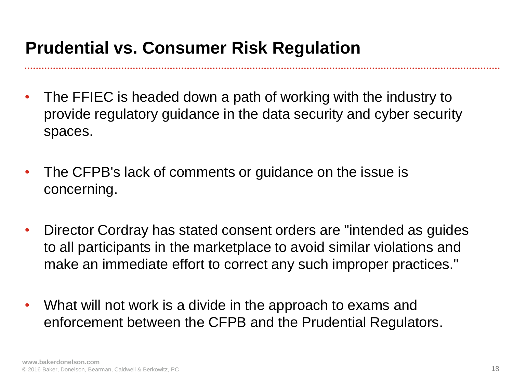#### **Prudential vs. Consumer Risk Regulation**

- The FFIEC is headed down a path of working with the industry to provide regulatory guidance in the data security and cyber security spaces.
- The CFPB's lack of comments or guidance on the issue is concerning.
- Director Cordray has stated consent orders are "intended as guides to all participants in the marketplace to avoid similar violations and make an immediate effort to correct any such improper practices."
- What will not work is a divide in the approach to exams and enforcement between the CFPB and the Prudential Regulators.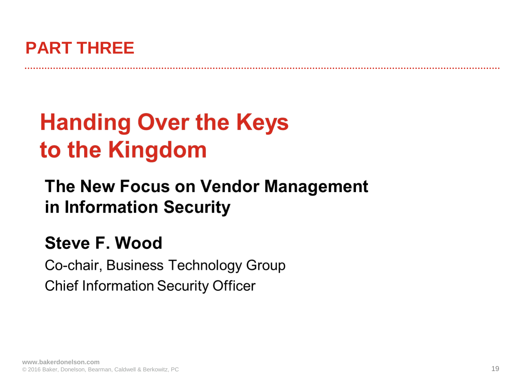#### **PART THREE**

# **Handing Over the Keys** to the Kingdom

# The New Focus on Vendor Management in Information Security

#### **Steve F. Wood**

Co-chair, Business Technology Group **Chief Information Security Officer**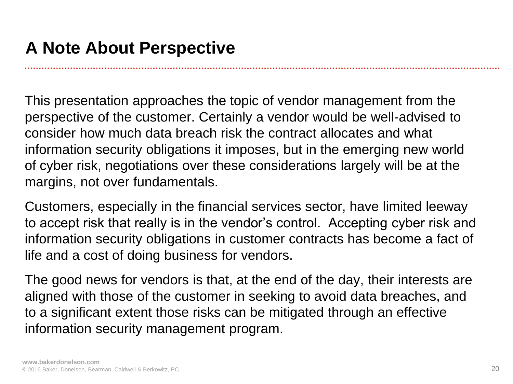This presentation approaches the topic of vendor management from the perspective of the customer. Certainly a vendor would be well-advised to consider how much data breach risk the contract allocates and what information security obligations it imposes, but in the emerging new world of cyber risk, negotiations over these considerations largely will be at the margins, not over fundamentals.

Customers, especially in the financial services sector, have limited leeway to accept risk that really is in the vendor's control. Accepting cyber risk and information security obligations in customer contracts has become a fact of life and a cost of doing business for vendors.

The good news for vendors is that, at the end of the day, their interests are aligned with those of the customer in seeking to avoid data breaches, and to a significant extent those risks can be mitigated through an effective information security management program.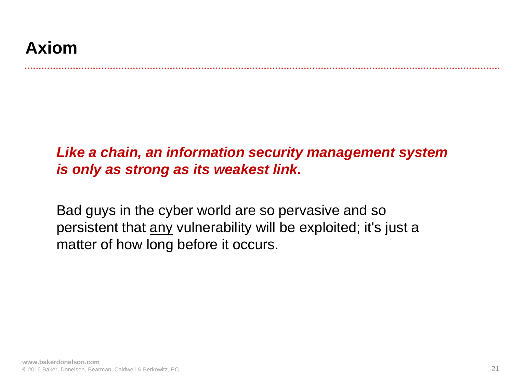#### **Axiom**

#### *Like a chain, an information security management system is only as strong as its weakest link.*

Bad guys in the cyber world are so pervasive and so persistent that any vulnerability will be exploited; it's just a matter of how long before it occurs.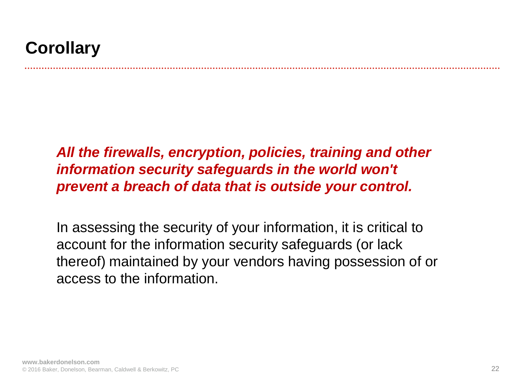#### **Corollary**

#### *All the firewalls, encryption, policies, training and other information security safeguards in the world won't prevent a breach of data that is outside your control.*

In assessing the security of your information, it is critical to account for the information security safeguards (or lack thereof) maintained by your vendors having possession of or access to the information.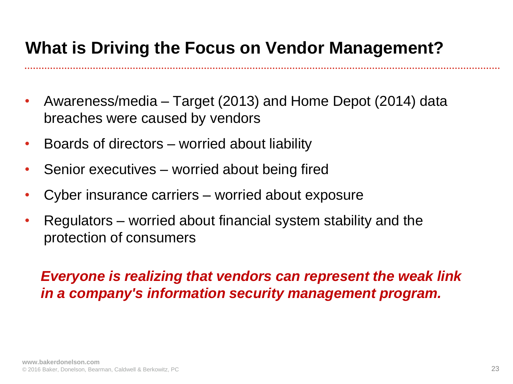#### **What is Driving the Focus on Vendor Management?**

- Awareness/media Target (2013) and Home Depot (2014) data breaches were caused by vendors
- Boards of directors worried about liability
- Senior executives worried about being fired
- Cyber insurance carriers worried about exposure
- Regulators worried about financial system stability and the protection of consumers

#### *Everyone is realizing that vendors can represent the weak link in a company's information security management program.*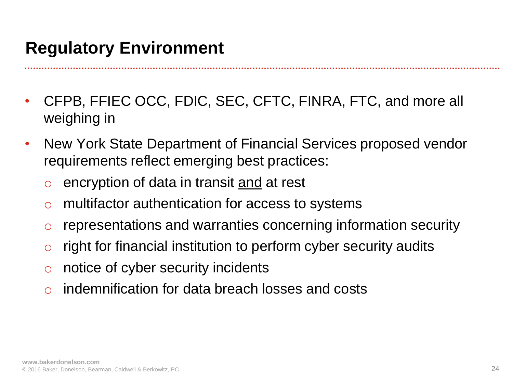- CFPB, FFIEC OCC, FDIC, SEC, CFTC, FINRA, FTC, and more all weighing in
- New York State Department of Financial Services proposed vendor requirements reflect emerging best practices:
	- o encryption of data in transit <u>and</u> at rest
	- o multifactor authentication for access to systems
	- $\circ$  representations and warranties concerning information security
	- $\circ$  right for financial institution to perform cyber security audits
	- o notice of cyber security incidents
	- $\circ$  indemnification for data breach losses and costs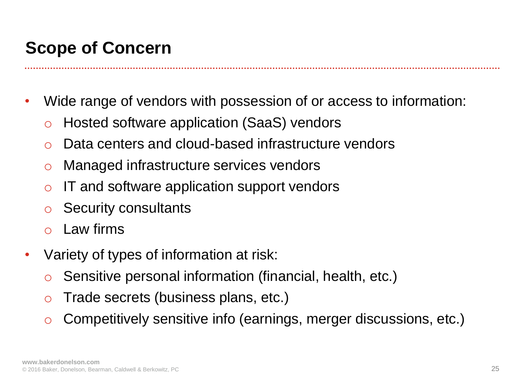#### **Scope of Concern**

- Wide range of vendors with possession of or access to information:
	- o Hosted software application (SaaS) vendors
	- o Data centers and cloud-based infrastructure vendors
	- o Managed infrastructure services vendors
	- $\circ$  IT and software application support vendors
	- o Security consultants
	- Law firms
- Variety of types of information at risk:
	- o Sensitive personal information (financial, health, etc.)
	- o Trade secrets (business plans, etc.)
	- $\circ$  Competitively sensitive info (earnings, merger discussions, etc.)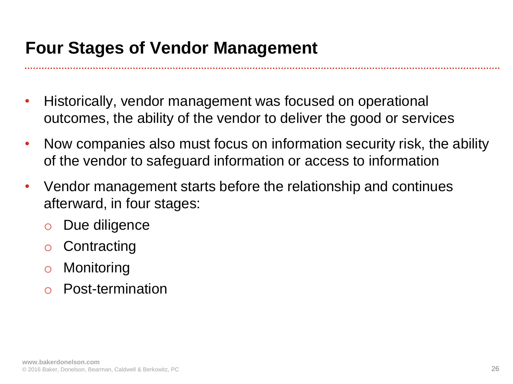#### **Four Stages of Vendor Management**

- Historically, vendor management was focused on operational outcomes, the ability of the vendor to deliver the good or services
- Now companies also must focus on information security risk, the ability of the vendor to safeguard information or access to information
- Vendor management starts before the relationship and continues afterward, in four stages:
	- o Due diligence
	- o Contracting
	- o Monitoring
	- o Post-termination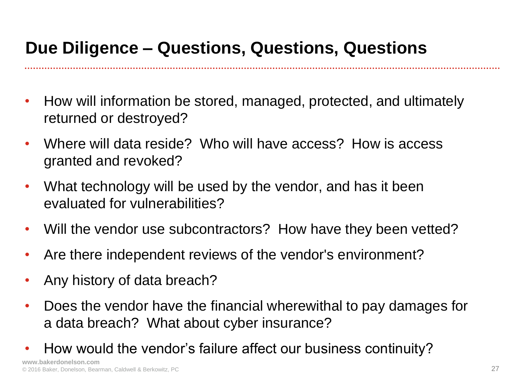#### **Due Diligence – Questions, Questions, Questions**

- How will information be stored, managed, protected, and ultimately returned or destroyed?
- Where will data reside? Who will have access? How is access granted and revoked?
- What technology will be used by the vendor, and has it been evaluated for vulnerabilities?
- Will the vendor use subcontractors? How have they been vetted?
- Are there independent reviews of the vendor's environment?
- Any history of data breach?
- Does the vendor have the financial wherewithal to pay damages for a data breach? What about cyber insurance?
- How would the vendor's failure affect our business continuity?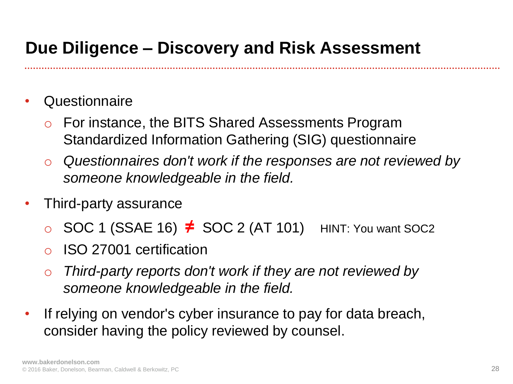#### **Due Diligence – Discovery and Risk Assessment**

- Questionnaire
	- For instance, the BITS Shared Assessments Program Standardized Information Gathering (SIG) questionnaire
	- o *Questionnaires don't work if the responses are not reviewed by someone knowledgeable in the field.*
- Third-party assurance
	- o SOC 1 (SSAE 16) **≠** SOC 2 (AT 101) HINT: You want SOC2
	- o ISO 27001 certification
	- o *Third-party reports don't work if they are not reviewed by someone knowledgeable in the field.*
- If relying on vendor's cyber insurance to pay for data breach, consider having the policy reviewed by counsel.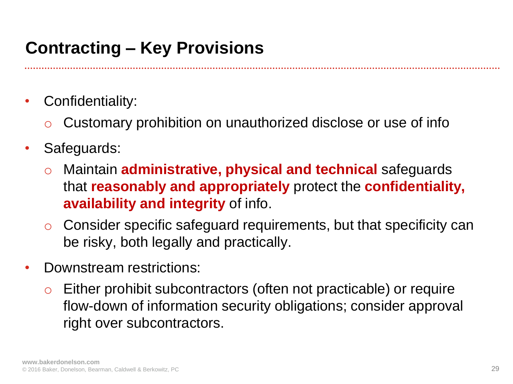#### **Contracting – Key Provisions**

- Confidentiality:
	- Customary prohibition on unauthorized disclose or use of info
- Safeguards:
	- o Maintain **administrative, physical and technical** safeguards that **reasonably and appropriately** protect the **confidentiality, availability and integrity** of info.
	- $\circ$  Consider specific safeguard requirements, but that specificity can be risky, both legally and practically.
- Downstream restrictions:
	- o Either prohibit subcontractors (often not practicable) or require flow-down of information security obligations; consider approval right over subcontractors.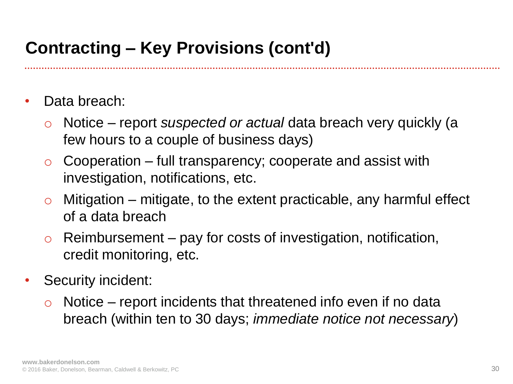#### **Contracting – Key Provisions (cont'd)**

- Data breach:
	- Notice report *suspected or actual* data breach very quickly (a few hours to a couple of business days)
	- $\circ$  Cooperation full transparency; cooperate and assist with investigation, notifications, etc.
	- $\circ$  Mitigation mitigate, to the extent practicable, any harmful effect of a data breach
	- $\circ$  Reimbursement pay for costs of investigation, notification, credit monitoring, etc.
- Security incident:
	- $\circ$  Notice report incidents that threatened info even if no data breach (within ten to 30 days; *immediate notice not necessary*)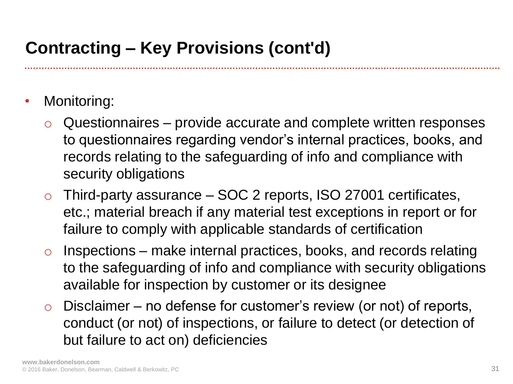#### **Contracting – Key Provisions (cont'd)**

- Monitoring:
	- Questionnaires provide accurate and complete written responses to questionnaires regarding vendor's internal practices, books, and records relating to the safeguarding of info and compliance with security obligations
	- $\circ$  Third-party assurance SOC 2 reports, ISO 27001 certificates, etc.; material breach if any material test exceptions in report or for failure to comply with applicable standards of certification
	- $\circ$  Inspections make internal practices, books, and records relating to the safeguarding of info and compliance with security obligations available for inspection by customer or its designee
	- $\circ$  Disclaimer no defense for customer's review (or not) of reports, conduct (or not) of inspections, or failure to detect (or detection of but failure to act on) deficiencies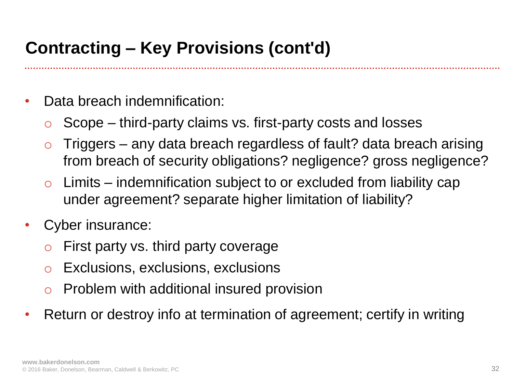#### **Contracting – Key Provisions (cont'd)**

- Data breach indemnification:
	- Scope third-party claims vs. first-party costs and losses
	- $\circ$  Triggers any data breach regardless of fault? data breach arising from breach of security obligations? negligence? gross negligence?
	- $\circ$  Limits indemnification subject to or excluded from liability cap under agreement? separate higher limitation of liability?
- Cyber insurance:
	- o First party vs. third party coverage
	- o Exclusions, exclusions, exclusions
	- o Problem with additional insured provision
- Return or destroy info at termination of agreement; certify in writing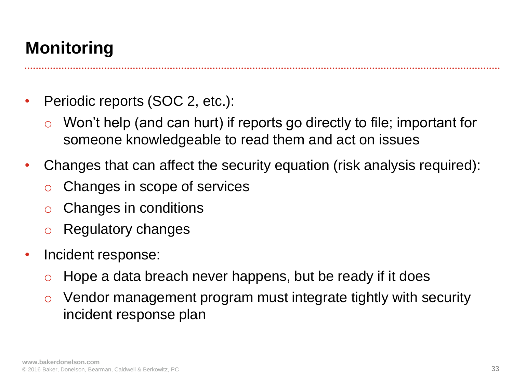# **Monitoring**

- Periodic reports (SOC 2, etc.):
	- Won't help (and can hurt) if reports go directly to file; important for someone knowledgeable to read them and act on issues
- Changes that can affect the security equation (risk analysis required):
	- o Changes in scope of services
	- o Changes in conditions
	- o Regulatory changes
- Incident response:
	- $\circ$  Hope a data breach never happens, but be ready if it does
	- $\circ$  Vendor management program must integrate tightly with security incident response plan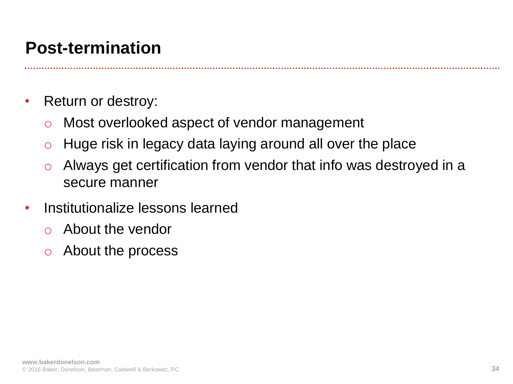#### **Post-termination**

- Return or destroy:
	- o Most overlooked aspect of vendor management
	- $\circ$  Huge risk in legacy data laying around all over the place
	- $\circ$  Always get certification from vendor that info was destroyed in a secure manner
- Institutionalize lessons learned
	- o About the vendor
	- o About the process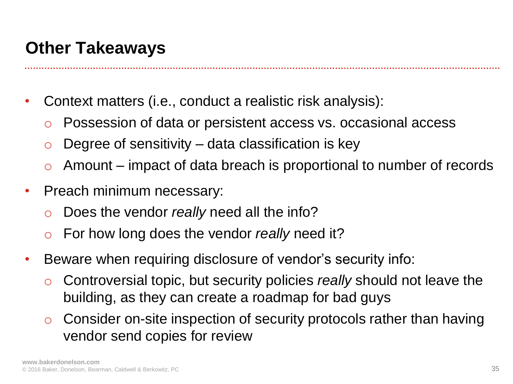#### **Other Takeaways**

- Context matters (i.e., conduct a realistic risk analysis):
	- Possession of data or persistent access vs. occasional access
	- $\circ$  Degree of sensitivity data classification is key
	- $\circ$  Amount impact of data breach is proportional to number of records
- Preach minimum necessary:
	- o Does the vendor *really* need all the info?
	- o For how long does the vendor *really* need it?
- Beware when requiring disclosure of vendor's security info:
	- o Controversial topic, but security policies *really* should not leave the building, as they can create a roadmap for bad guys
	- $\circ$  Consider on-site inspection of security protocols rather than having vendor send copies for review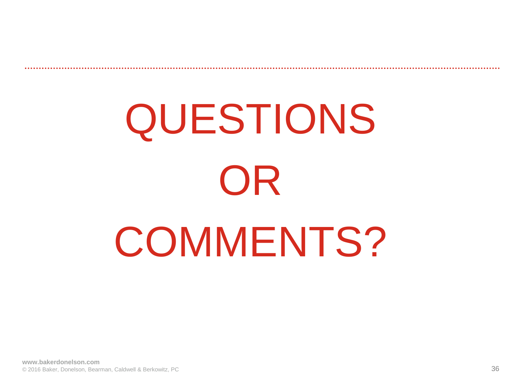# QUESTIONS OR COMMENTS?